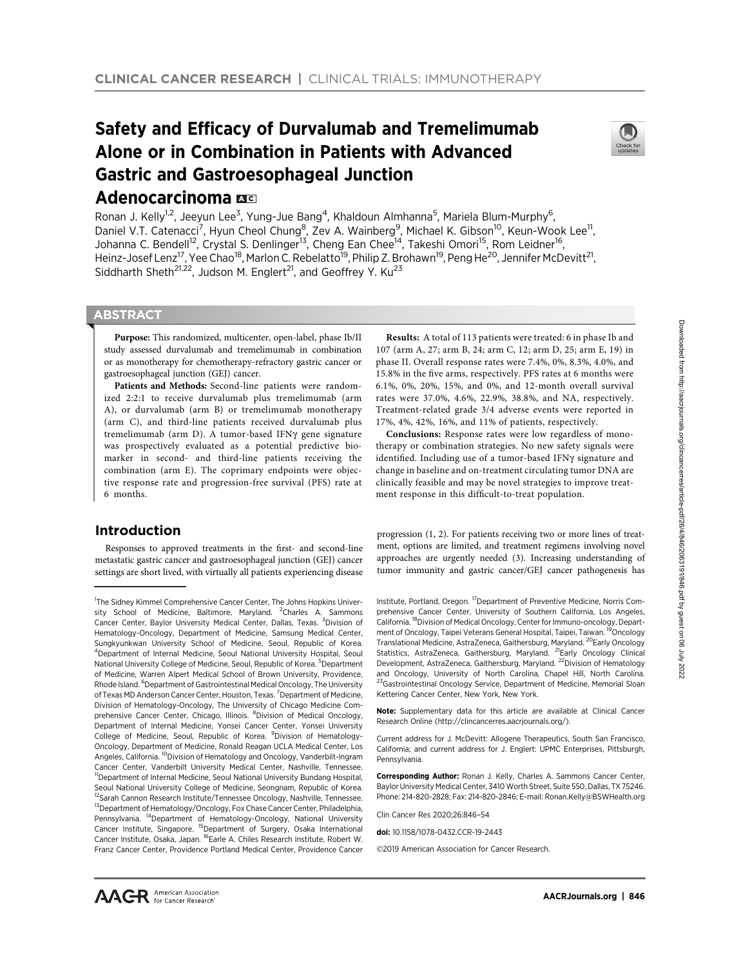# Safety and Efficacy of Durvalumab and Tremelimumab Alone or in Combination in Patients with Advanced Gastric and Gastroesophageal Junction



Ronan J. Kelly<sup>1,2</sup>, Jeeyun Lee<sup>3</sup>, Yung-Jue Bang<sup>4</sup>, Khaldoun Almhanna<sup>5</sup>, Mariela Blum-Murphy<sup>6</sup>, Daniel V.T. Catenacci<sup>7</sup>, Hyun Cheol Chung<sup>8</sup>, Zev A. Wainberg<sup>9</sup>, Michael K. Gibson<sup>10</sup>, Keun-Wook Lee<sup>11</sup>, Johanna C. Bendell<sup>12</sup>, Crystal S. Denlinger<sup>13</sup>, Cheng Ean Chee<sup>14</sup>, Takeshi Omori<sup>15</sup>, Rom Leidner<sup>16</sup>, Heinz-Josef Lenz<sup>17</sup>, Yee Chao<sup>18</sup>, Marlon C. Rebelatto<sup>19</sup>, Philip Z. Brohawn<sup>19</sup>, Peng He<sup>20</sup>, Jennifer McDevitt<sup>21</sup>, Siddharth Sheth<sup>21,22</sup>, Judson M. Englert<sup>21</sup>, and Geoffrey Y. Ku<sup>23</sup>

# **ABSTRACT**

◥

Adenocarcinoma **AC** 

Purpose: This randomized, multicenter, open-label, phase Ib/II study assessed durvalumab and tremelimumab in combination or as monotherapy for chemotherapy-refractory gastric cancer or gastroesophageal junction (GEJ) cancer.

Patients and Methods: Second-line patients were randomized 2:2:1 to receive durvalumab plus tremelimumab (arm A), or durvalumab (arm B) or tremelimumab monotherapy (arm C), and third-line patients received durvalumab plus tremelimumab (arm D). A tumor-based IFNy gene signature was prospectively evaluated as a potential predictive biomarker in second- and third-line patients receiving the combination (arm E). The coprimary endpoints were objective response rate and progression-free survival (PFS) rate at 6 months.

# Introduction

Responses to approved treatments in the first- and second-line metastatic gastric cancer and gastroesophageal junction (GEJ) cancer settings are short lived, with virtually all patients experiencing disease

Results: A total of 113 patients were treated: 6 in phase Ib and 107 (arm A, 27; arm B, 24; arm C, 12; arm D, 25; arm E, 19) in phase II. Overall response rates were 7.4%, 0%, 8.3%, 4.0%, and 15.8% in the five arms, respectively. PFS rates at 6 months were 6.1%, 0%, 20%, 15%, and 0%, and 12-month overall survival rates were 37.0%, 4.6%, 22.9%, 38.8%, and NA, respectively. Treatment-related grade 3/4 adverse events were reported in 17%, 4%, 42%, 16%, and 11% of patients, respectively.

Conclusions: Response rates were low regardless of monotherapy or combination strategies. No new safety signals were identified. Including use of a tumor-based IFNy signature and change in baseline and on-treatment circulating tumor DNA are clinically feasible and may be novel strategies to improve treatment response in this difficult-to-treat population.

progression (1, 2). For patients receiving two or more lines of treatment, options are limited, and treatment regimens involving novel approaches are urgently needed (3). Increasing understanding of tumor immunity and gastric cancer/GEJ cancer pathogenesis has

Institute, Portland, Oregon. 17Department of Preventive Medicine, Norris Comprehensive Cancer Center, University of Southern California, Los Angeles, California. 18Division of Medical Oncology, Center for Immuno-oncology, Department of Oncology, Taipei Veterans General Hospital, Taipei, Taiwan. <sup>19</sup>Oncology Translational Medicine, AstraZeneca, Gaithersburg, Maryland. <sup>20</sup>Early Oncology Statistics, AstraZeneca, Gaithersburg, Maryland. <sup>21</sup>Early Oncology Clinical Development, AstraZeneca, Gaithersburg, Maryland. <sup>22</sup>Division of Hematology and Oncology, University of North Carolina, Chapel Hill, North Carolina. <sup>23</sup>Gastrointestinal Oncology Service, Department of Medicine, Memorial Sloan Kettering Cancer Center, New York, New York.

Note: Supplementary data for this article are available at Clinical Cancer Research Online (http://clincancerres.aacrjournals.org/).

Current address for J. McDevitt: Allogene Therapeutics, South San Francisco, California; and current address for J. Englert: UPMC Enterprises, Pittsburgh, Pennsylvania.

Corresponding Author: Ronan J. Kelly, Charles A. Sammons Cancer Center, Baylor University Medical Center, 3410 Worth Street, Suite 550, Dallas, TX 75246. Phone: 214-820-2828; Fax: 214-820-2846; E-mail: Ronan.Kelly@BSWHealth.org

Clin Cancer Res 2020;26:846–54

doi: 10.1158/1078-0432 CCR-19-2443

2019 American Association for Cancer Research.

<sup>&</sup>lt;sup>1</sup>The Sidney Kimmel Comprehensive Cancer Center, The Johns Hopkins University School of Medicine, Baltimore, Maryland. <sup>2</sup>Charles A. Sammons Cancer Center, Baylor University Medical Center, Dallas, Texas. <sup>3</sup>Division of Hematology-Oncology, Department of Medicine, Samsung Medical Center, Sungkyunkwan University School of Medicine, Seoul, Republic of Korea. 4 Department of Internal Medicine, Seoul National University Hospital, Seoul National University College of Medicine, Seoul, Republic of Korea. <sup>5</sup>Department of Medicine, Warren Alpert Medical School of Brown University, Providence, Rhode Island. <sup>6</sup>Department of Gastrointestinal Medical Oncology, The University of Texas MD Anderson Cancer Center, Houston, Texas. <sup>7</sup> Department of Medicine, Division of Hematology-Oncology, The University of Chicago Medicine Comprehensive Cancer Center, Chicago, Illinois. <sup>8</sup>Division of Medical Oncology, Department of Internal Medicine, Yonsei Cancer Center, Yonsei University College of Medicine, Seoul, Republic of Korea. <sup>9</sup> Division of Hematology-Oncology, Department of Medicine, Ronald Reagan UCLA Medical Center, Los Angeles, California. <sup>10</sup>Division of Hematology and Oncology, Vanderbilt-Ingram Cancer Center, Vanderbilt University Medical Center, Nashville, Tennessee. <sup>11</sup>Department of Internal Medicine, Seoul National University Bundang Hospital, Seoul National University College of Medicine, Seongnam, Republic of Korea. <sup>12</sup>Sarah Cannon Research Institute/Tennessee Oncology, Nashville, Tennessee. <sup>13</sup>Department of Hematology/Oncology, Fox Chase Cancer Center, Philadelphia, Pennsylvania. 14Department of Hematology-Oncology, National University Cancer Institute, Singapore. <sup>15</sup>Department of Surgery, Osaka International Cancer Institute, Osaka, Japan. 16Earle A. Chiles Research Institute, Robert W. Franz Cancer Center, Providence Portland Medical Center, Providence Cancer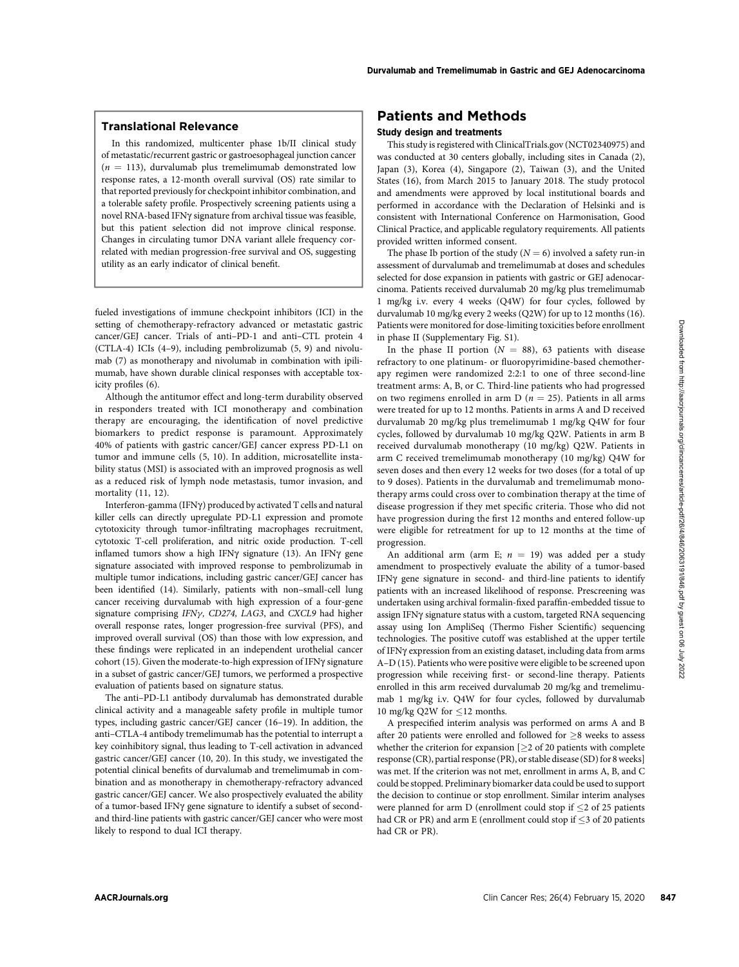# Translational Relevance

In this randomized, multicenter phase 1b/II clinical study of metastatic/recurrent gastric or gastroesophageal junction cancer  $(n = 113)$ , durvalumab plus tremelimumab demonstrated low response rates, a 12-month overall survival (OS) rate similar to that reported previously for checkpoint inhibitor combination, and a tolerable safety profile. Prospectively screening patients using a novel RNA-based IFNg signature from archival tissue was feasible, but this patient selection did not improve clinical response. Changes in circulating tumor DNA variant allele frequency correlated with median progression-free survival and OS, suggesting utility as an early indicator of clinical benefit.

fueled investigations of immune checkpoint inhibitors (ICI) in the setting of chemotherapy-refractory advanced or metastatic gastric cancer/GEJ cancer. Trials of anti–PD-1 and anti–CTL protein 4 (CTLA-4) ICIs (4–9), including pembrolizumab (5, 9) and nivolumab (7) as monotherapy and nivolumab in combination with ipilimumab, have shown durable clinical responses with acceptable toxicity profiles (6).

Although the antitumor effect and long-term durability observed in responders treated with ICI monotherapy and combination therapy are encouraging, the identification of novel predictive biomarkers to predict response is paramount. Approximately 40% of patients with gastric cancer/GEJ cancer express PD-L1 on tumor and immune cells (5, 10). In addition, microsatellite instability status (MSI) is associated with an improved prognosis as well as a reduced risk of lymph node metastasis, tumor invasion, and mortality (11, 12).

Interferon-gamma (IFNg) produced by activated T cells and natural killer cells can directly upregulate PD-L1 expression and promote cytotoxicity through tumor-infiltrating macrophages recruitment, cytotoxic T-cell proliferation, and nitric oxide production. T-cell inflamed tumors show a high IFN $\gamma$  signature (13). An IFN $\gamma$  gene signature associated with improved response to pembrolizumab in multiple tumor indications, including gastric cancer/GEJ cancer has been identified (14). Similarly, patients with non–small-cell lung cancer receiving durvalumab with high expression of a four-gene signature comprising  $IFN\gamma$ , CD274, LAG3, and CXCL9 had higher overall response rates, longer progression-free survival (PFS), and improved overall survival (OS) than those with low expression, and these findings were replicated in an independent urothelial cancer cohort (15). Given the moderate-to-high expression of IFN $\gamma$  signature in a subset of gastric cancer/GEJ tumors, we performed a prospective evaluation of patients based on signature status.

The anti–PD-L1 antibody durvalumab has demonstrated durable clinical activity and a manageable safety profile in multiple tumor types, including gastric cancer/GEJ cancer (16–19). In addition, the anti–CTLA-4 antibody tremelimumab has the potential to interrupt a key coinhibitory signal, thus leading to T-cell activation in advanced gastric cancer/GEJ cancer (10, 20). In this study, we investigated the potential clinical benefits of durvalumab and tremelimumab in combination and as monotherapy in chemotherapy-refractory advanced gastric cancer/GEJ cancer. We also prospectively evaluated the ability of a tumor-based IFNg gene signature to identify a subset of secondand third-line patients with gastric cancer/GEJ cancer who were most likely to respond to dual ICI therapy.

# Patients and Methods

## Study design and treatments

This study is registered with ClinicalTrials.gov (NCT02340975) and was conducted at 30 centers globally, including sites in Canada (2), Japan (3), Korea (4), Singapore (2), Taiwan (3), and the United States (16), from March 2015 to January 2018. The study protocol and amendments were approved by local institutional boards and performed in accordance with the Declaration of Helsinki and is consistent with International Conference on Harmonisation, Good Clinical Practice, and applicable regulatory requirements. All patients provided written informed consent.

The phase Ib portion of the study ( $N = 6$ ) involved a safety run-in assessment of durvalumab and tremelimumab at doses and schedules selected for dose expansion in patients with gastric or GEJ adenocarcinoma. Patients received durvalumab 20 mg/kg plus tremelimumab 1 mg/kg i.v. every 4 weeks (Q4W) for four cycles, followed by durvalumab 10 mg/kg every 2 weeks (Q2W) for up to 12 months (16). Patients were monitored for dose-limiting toxicities before enrollment in phase II (Supplementary Fig. S1).

In the phase II portion ( $N = 88$ ), 63 patients with disease refractory to one platinum- or fluoropyrimidine-based chemotherapy regimen were randomized 2:2:1 to one of three second-line treatment arms: A, B, or C. Third-line patients who had progressed on two regimens enrolled in arm D ( $n = 25$ ). Patients in all arms were treated for up to 12 months. Patients in arms A and D received durvalumab 20 mg/kg plus tremelimumab 1 mg/kg Q4W for four cycles, followed by durvalumab 10 mg/kg Q2W. Patients in arm B received durvalumab monotherapy (10 mg/kg) Q2W. Patients in arm C received tremelimumab monotherapy (10 mg/kg) Q4W for seven doses and then every 12 weeks for two doses (for a total of up to 9 doses). Patients in the durvalumab and tremelimumab monotherapy arms could cross over to combination therapy at the time of disease progression if they met specific criteria. Those who did not have progression during the first 12 months and entered follow-up were eligible for retreatment for up to 12 months at the time of progression.

An additional arm (arm E;  $n = 19$ ) was added per a study amendment to prospectively evaluate the ability of a tumor-based IFNg gene signature in second- and third-line patients to identify patients with an increased likelihood of response. Prescreening was undertaken using archival formalin-fixed paraffin-embedded tissue to assign IFNy signature status with a custom, targeted RNA sequencing assay using Ion AmpliSeq (Thermo Fisher Scientific) sequencing technologies. The positive cutoff was established at the upper tertile of IFNg expression from an existing dataset, including data from arms A–D (15). Patients who were positive were eligible to be screened upon progression while receiving first- or second-line therapy. Patients enrolled in this arm received durvalumab 20 mg/kg and tremelimumab 1 mg/kg i.v. Q4W for four cycles, followed by durvalumab 10 mg/kg Q2W for  $\leq$ 12 months.

A prespecified interim analysis was performed on arms A and B after 20 patients were enrolled and followed for  $>8$  weeks to assess whether the criterion for expansion  $[\geq]2$  of 20 patients with complete response (CR), partial response (PR), or stable disease (SD) for 8 weeks] was met. If the criterion was not met, enrollment in arms A, B, and C could be stopped. Preliminary biomarker data could be used to support the decision to continue or stop enrollment. Similar interim analyses were planned for arm D (enrollment could stop if  $\leq$  2 of 25 patients had CR or PR) and arm E (enrollment could stop if  $\leq$ 3 of 20 patients had CR or PR).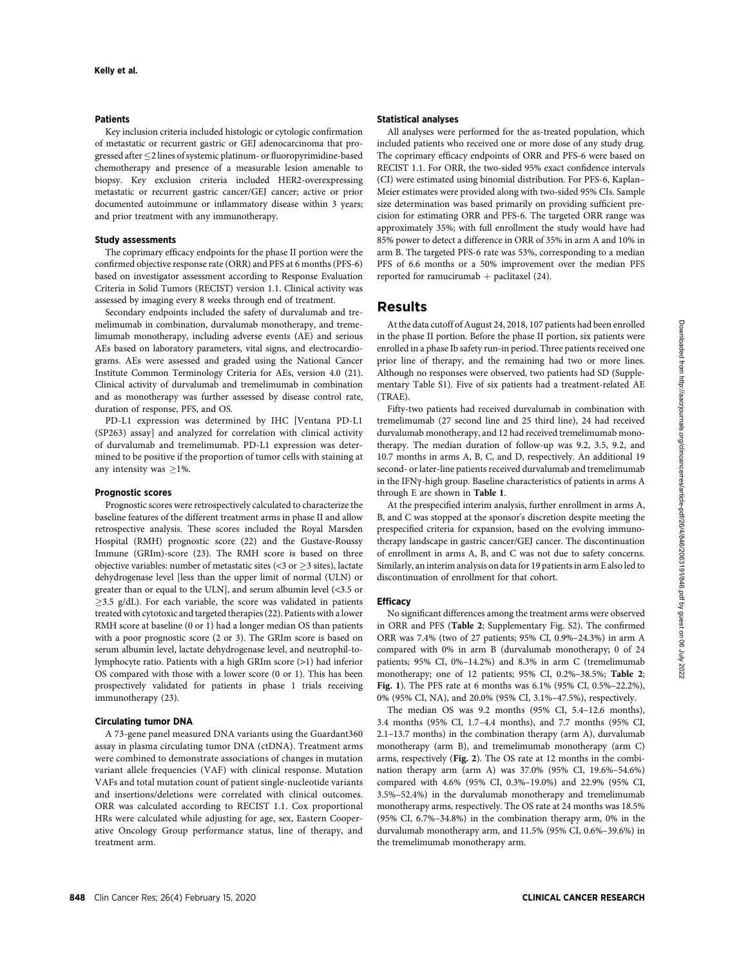#### Patients

Key inclusion criteria included histologic or cytologic confirmation of metastatic or recurrent gastric or GEJ adenocarcinoma that progressed after  $\leq$  2 lines of systemic platinum- or fluoropyrimidine-based chemotherapy and presence of a measurable lesion amenable to biopsy. Key exclusion criteria included HER2-overexpressing metastatic or recurrent gastric cancer/GEJ cancer; active or prior documented autoimmune or inflammatory disease within 3 years; and prior treatment with any immunotherapy.

#### Study assessments

The coprimary efficacy endpoints for the phase II portion were the confirmed objective response rate (ORR) and PFS at 6 months (PFS-6) based on investigator assessment according to Response Evaluation Criteria in Solid Tumors (RECIST) version 1.1. Clinical activity was assessed by imaging every 8 weeks through end of treatment.

Secondary endpoints included the safety of durvalumab and tremelimumab in combination, durvalumab monotherapy, and tremelimumab monotherapy, including adverse events (AE) and serious AEs based on laboratory parameters, vital signs, and electrocardiograms. AEs were assessed and graded using the National Cancer Institute Common Terminology Criteria for AEs, version 4.0 (21). Clinical activity of durvalumab and tremelimumab in combination and as monotherapy was further assessed by disease control rate, duration of response, PFS, and OS.

PD-L1 expression was determined by IHC [Ventana PD-L1 (SP263) assay] and analyzed for correlation with clinical activity of durvalumab and tremelimumab. PD-L1 expression was determined to be positive if the proportion of tumor cells with staining at any intensity was  $\geq$ 1%.

#### Prognostic scores

Prognostic scores were retrospectively calculated to characterize the baseline features of the different treatment arms in phase II and allow retrospective analysis. These scores included the Royal Marsden Hospital (RMH) prognostic score (22) and the Gustave-Roussy Immune (GRIm)-score (23). The RMH score is based on three objective variables: number of metastatic sites ( $\lt$ 3 or  $\geq$ 3 sites), lactate dehydrogenase level [less than the upper limit of normal (ULN) or greater than or equal to the ULN], and serum albumin level (<3.5 or  $\geq$ 3.5 g/dL). For each variable, the score was validated in patients treated with cytotoxic and targeted therapies (22). Patients with a lower RMH score at baseline (0 or 1) had a longer median OS than patients with a poor prognostic score (2 or 3). The GRIm score is based on serum albumin level, lactate dehydrogenase level, and neutrophil-tolymphocyte ratio. Patients with a high GRIm score (>1) had inferior OS compared with those with a lower score (0 or 1). This has been prospectively validated for patients in phase 1 trials receiving immunotherapy (23).

## Circulating tumor DNA

A 73-gene panel measured DNA variants using the Guardant360 assay in plasma circulating tumor DNA (ctDNA). Treatment arms were combined to demonstrate associations of changes in mutation variant allele frequencies (VAF) with clinical response. Mutation VAFs and total mutation count of patient single-nucleotide variants and insertions/deletions were correlated with clinical outcomes. ORR was calculated according to RECIST 1.1. Cox proportional HRs were calculated while adjusting for age, sex, Eastern Cooperative Oncology Group performance status, line of therapy, and treatment arm.

### Statistical analyses

All analyses were performed for the as-treated population, which included patients who received one or more dose of any study drug. The coprimary efficacy endpoints of ORR and PFS-6 were based on RECIST 1.1. For ORR, the two-sided 95% exact confidence intervals (CI) were estimated using binomial distribution. For PFS-6, Kaplan– Meier estimates were provided along with two-sided 95% CIs. Sample size determination was based primarily on providing sufficient precision for estimating ORR and PFS-6. The targeted ORR range was approximately 35%; with full enrollment the study would have had 85% power to detect a difference in ORR of 35% in arm A and 10% in arm B. The targeted PFS-6 rate was 53%, corresponding to a median PFS of 6.6 months or a 50% improvement over the median PFS reported for ramucirumab  $+$  paclitaxel (24).

# Results

At the data cutoff of August 24, 2018, 107 patients had been enrolled in the phase II portion. Before the phase II portion, six patients were enrolled in a phase Ib safety run-in period. Three patients received one prior line of therapy, and the remaining had two or more lines. Although no responses were observed, two patients had SD (Supplementary Table S1). Five of six patients had a treatment-related AE  $(TRAE)$ 

Fifty-two patients had received durvalumab in combination with tremelimumab (27 second line and 25 third line), 24 had received durvalumab monotherapy, and 12 had received tremelimumab monotherapy. The median duration of follow-up was 9.2, 3.5, 9.2, and 10.7 months in arms A, B, C, and D, respectively. An additional 19 second- or later-line patients received durvalumab and tremelimumab in the IFNg-high group. Baseline characteristics of patients in arms A through E are shown in Table 1.

At the prespecified interim analysis, further enrollment in arms A, B, and C was stopped at the sponsor's discretion despite meeting the prespecified criteria for expansion, based on the evolving immunotherapy landscape in gastric cancer/GEJ cancer. The discontinuation of enrollment in arms A, B, and C was not due to safety concerns. Similarly, an interim analysis on data for 19 patients in arm E also led to discontinuation of enrollment for that cohort.

#### **Efficacy**

No significant differences among the treatment arms were observed in ORR and PFS (Table 2; Supplementary Fig. S2). The confirmed ORR was 7.4% (two of 27 patients; 95% CI, 0.9%–24.3%) in arm A compared with 0% in arm B (durvalumab monotherapy; 0 of 24 patients; 95% CI, 0%–14.2%) and 8.3% in arm C (tremelimumab monotherapy; one of 12 patients; 95% CI, 0.2%–38.5%; Table 2; Fig. 1). The PFS rate at 6 months was 6.1% (95% CI, 0.5%–22.2%), 0% (95% CI, NA), and 20.0% (95% CI, 3.1%–47.5%), respectively.

The median OS was 9.2 months (95% CI, 5.4–12.6 months), 3.4 months (95% CI, 1.7–4.4 months), and 7.7 months (95% CI, 2.1–13.7 months) in the combination therapy (arm A), durvalumab monotherapy (arm B), and tremelimumab monotherapy (arm C) arms, respectively (Fig. 2). The OS rate at 12 months in the combination therapy arm (arm A) was 37.0% (95% CI, 19.6%–54.6%) compared with 4.6% (95% CI, 0.3%–19.0%) and 22.9% (95% CI, 3.5%–52.4%) in the durvalumab monotherapy and tremelimumab monotherapy arms, respectively. The OS rate at 24 months was 18.5% (95% CI, 6.7%–34.8%) in the combination therapy arm, 0% in the durvalumab monotherapy arm, and 11.5% (95% CI, 0.6%–39.6%) in the tremelimumab monotherapy arm.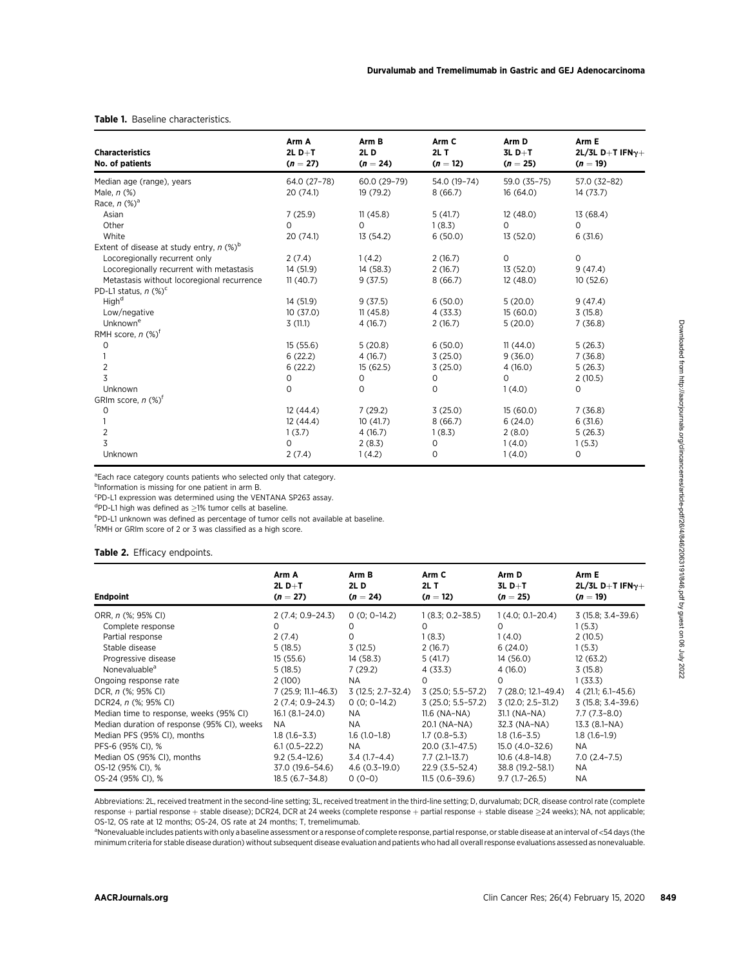## Table 1. Baseline characteristics.

| <b>Characteristics</b>                                 | Arm A<br>$2L D+T$ | Arm B<br><b>2LD</b> | Arm C<br>$2L$ T | Arm D<br>$3L D+T$ | Arm E<br>2L/3L D+T IFN $\gamma+$<br>$(n = 19)$ |  |
|--------------------------------------------------------|-------------------|---------------------|-----------------|-------------------|------------------------------------------------|--|
| No. of patients                                        | $(n = 27)$        | $(n = 24)$          | $(n = 12)$      | $(n = 25)$        |                                                |  |
| Median age (range), years                              | 64.0 (27-78)      | 60.0 (29-79)        | 54.0 (19-74)    | 59.0 (35-75)      | 57.0 (32-82)                                   |  |
| Male, $n$ (%)                                          | 20(74.1)          | 19 (79.2)           | 8(66.7)         | 16(64.0)          | 14(73.7)                                       |  |
| Race, $n$ $(\%)^a$                                     |                   |                     |                 |                   |                                                |  |
| Asian                                                  | 7(25.9)           | 11(45.8)            | 5(41.7)         | 12(48.0)          | 13 (68.4)                                      |  |
| Other                                                  | 0                 | 0                   | 1(8.3)          | 0                 | 0                                              |  |
| White                                                  | 20 (74.1)         | 13 (54.2)           | 6(50.0)         | 13 (52.0)         | 6(31.6)                                        |  |
| Extent of disease at study entry, $n$ (%) <sup>b</sup> |                   |                     |                 |                   |                                                |  |
| Locoregionally recurrent only                          | 2(7.4)            | 1(4.2)              | 2(16.7)         | $\mathsf{O}$      | $\mathsf{O}$                                   |  |
| Locoregionally recurrent with metastasis               | 14 (51.9)         | 14 (58.3)           | 2(16.7)         | 13 (52.0)         | 9(47.4)                                        |  |
| Metastasis without locoregional recurrence             | 11(40.7)          | 9(37.5)             | 8(66.7)         | 12(48.0)          | 10(52.6)                                       |  |
| PD-L1 status, $n$ (%) <sup>c</sup>                     |                   |                     |                 |                   |                                                |  |
| High <sup>d</sup>                                      | 14 (51.9)         | 9(37.5)             | 6(50.0)         | 5(20.0)           | 9(47.4)                                        |  |
| Low/negative                                           | 10(37.0)          | 11(45.8)            | 4(33.3)         | 15(60.0)          | 3(15.8)                                        |  |
| Unknown <sup>e</sup>                                   | 3(11.1)           | 4(16.7)             | 2(16.7)         | 5(20.0)           | 7(36.8)                                        |  |
| RMH score, $n$ (%) <sup>f</sup>                        |                   |                     |                 |                   |                                                |  |
| 0                                                      | 15(55.6)          | 5(20.8)             | 6(50.0)         | 11(44.0)          | 5(26.3)                                        |  |
|                                                        | 6(22.2)           | 4(16.7)             | 3(25.0)         | 9(36.0)           | 7(36.8)                                        |  |
| $\overline{2}$                                         | 6(22.2)           | 15 (62.5)           | 3(25.0)         | 4(16.0)           | 5(26.3)                                        |  |
| 3                                                      | 0                 | 0                   | 0               | $\Omega$          | 2(10.5)                                        |  |
| Unknown                                                | $\mathbf 0$       | $\circ$             | $\circ$         | 1(4.0)            | 0                                              |  |
| GRIm score, $n$ (%) <sup>t</sup>                       |                   |                     |                 |                   |                                                |  |
| 0                                                      | 12(44.4)          | 7(29.2)             | 3(25.0)         | 15(60.0)          | 7(36.8)                                        |  |
|                                                        | 12(44.4)          | 10(41.7)            | 8(66.7)         | 6(24.0)           | 6(31.6)                                        |  |
| 2                                                      | 1(3.7)            | 4(16.7)             | 1(8.3)          | 2(8.0)            | 5(26.3)                                        |  |
| 3                                                      | 0                 | 2(8.3)              | 0               | 1(4.0)            | 1(5.3)                                         |  |
| Unknown                                                | 2(7.4)            | 1(4.2)              | 0               | 1(4.0)            | 0                                              |  |

<sup>a</sup>Each race category counts patients who selected only that category.

<sup>b</sup>Information is missing for one patient in arm B.

c PD-L1 expression was determined using the VENTANA SP263 assay.

 $\sigma$ PD-L1 high was defined as  $\geq$ 1% tumor cells at baseline.

ePD-L1 unknown was defined as percentage of tumor cells not available at baseline.

f RMH or GRIm score of 2 or 3 was classified as a high score.

## Table 2. Efficacy endpoints.

|                                                                                                                                                                                                                                                                                                                                                                                                                                       | Arm A<br>2L D $+T$                                                                                                                                                                                                                                               | Arm B                                                                                                                                                                                              | Arm C                                                                                                                                                                                                                                                              | Arm D                                                                                                                                                                                                                                                       |                                                                                                                                                                                                                             |  |
|---------------------------------------------------------------------------------------------------------------------------------------------------------------------------------------------------------------------------------------------------------------------------------------------------------------------------------------------------------------------------------------------------------------------------------------|------------------------------------------------------------------------------------------------------------------------------------------------------------------------------------------------------------------------------------------------------------------|----------------------------------------------------------------------------------------------------------------------------------------------------------------------------------------------------|--------------------------------------------------------------------------------------------------------------------------------------------------------------------------------------------------------------------------------------------------------------------|-------------------------------------------------------------------------------------------------------------------------------------------------------------------------------------------------------------------------------------------------------------|-----------------------------------------------------------------------------------------------------------------------------------------------------------------------------------------------------------------------------|--|
| <b>Endpoint</b>                                                                                                                                                                                                                                                                                                                                                                                                                       | $(n = 27)$                                                                                                                                                                                                                                                       | 2L D<br>$(n = 24)$                                                                                                                                                                                 | $2L$ T<br>$(n = 12)$                                                                                                                                                                                                                                               | $3L D+T$<br>$(n = 25)$                                                                                                                                                                                                                                      | Arm E<br>2L/3L D+T IFN $\gamma+$<br>$(n = 19)$                                                                                                                                                                              |  |
| ORR, <i>n</i> (%; 95% CI)<br>Complete response<br>Partial response<br>Stable disease<br>Progressive disease<br>Nonevaluable <sup>a</sup><br>Ongoing response rate<br>DCR, n (%; 95% CI)<br>DCR24, n (%; 95% CI)<br>Median time to response, weeks (95% CI)<br>Median duration of response (95% CI), weeks<br>Median PFS (95% CI), months<br>PFS-6 (95% CI), %<br>Median OS (95% CI), months<br>OS-12 (95% CI), %<br>OS-24 (95% CI), % | $2(7.4; 0.9 - 24.3)$<br>0<br>2(7.4)<br>5(18.5)<br>15(55.6)<br>5(18.5)<br>2(100)<br>$7(25.9; 11.1 - 46.3)$<br>$2(7.4; 0.9 - 24.3)$<br>$16.1(8.1 - 24.0)$<br>NA.<br>$1.8(1.6-3.3)$<br>$6.1(0.5-22.2)$<br>$9.2(5.4-12.6)$<br>37.0 (19.6-54.6)<br>$18.5(6.7 - 34.8)$ | $0(0; 0-14.2)$<br>O<br>0<br>3(12.5)<br>14 (58.3)<br>7(29.2)<br>NA.<br>$3(12.5; 2.7-32.4)$<br>$0(0; 0-14.2)$<br>NA<br>NA.<br>$1.6(1.0-1.8)$<br>NA.<br>$3.4(1.7-4.4)$<br>$4.6(0.3-19.0)$<br>$0(0-0)$ | $1(8.3; 0.2 - 38.5)$<br>0<br>1(8.3)<br>2(16.7)<br>5(41.7)<br>4 (33.3)<br>$\Omega$<br>$3(25.0; 5.5-57.2)$<br>$3(25.0; 5.5-57.2)$<br>$11.6$ (NA-NA)<br>20.1 (NA-NA)<br>$1.7(0.8-5.3)$<br>20.0 (3.1-47.5)<br>$7.7(2.1-13.7)$<br>22.9 (3.5–52.4)<br>$11.5(0.6 - 39.6)$ | $1(4.0; 0.1 - 20.4)$<br>0<br>1(4.0)<br>6(24.0)<br>14 (56.0)<br>4 (16.0)<br>O.<br>7 (28.0; 12.1-49.4)<br>$3(12.0; 2.5-31.2)$<br>31.1 (NA-NA)<br>32.3 (NA-NA)<br>$1.8(1.6-3.5)$<br>15.0 (4.0–32.6)<br>$10.6(4.8-14.8)$<br>38.8 (19.2-58.1)<br>$9.7(1.7-26.5)$ | $3(15.8; 3.4-39.6)$<br>1(5.3)<br>2(10.5)<br>1(5.3)<br>12(63.2)<br>3(15.8)<br>1(33.3)<br>$4(21.1; 6.1-45.6)$<br>3 (15.8; 3.4-39.6)<br>$7.7(7.3-8.0)$<br>13.3 (8.1-NA)<br>$1.8(1.6-1.9)$<br>NA.<br>$7.0(2.4-7.5)$<br>ΝA<br>ΝA |  |

Abbreviations: 2L, received treatment in the second-line setting; 3L, received treatment in the third-line setting; D, durvalumab; DCR, disease control rate (complete response + partial response + stable disease); DCR24, DCR at 24 weeks (complete response + partial response + stable disease ≥24 weeks); NA, not applicable; OS-12, OS rate at 12 months; OS-24, OS rate at 24 months; T, tremelimumab.

a Nonevaluable includes patients with only a baseline assessment or a response of complete response, partial response, or stable disease at an interval of <54 days (the minimum criteria for stable disease duration) without subsequent disease evaluation and patients who had all overall response evaluations assessed as nonevaluable.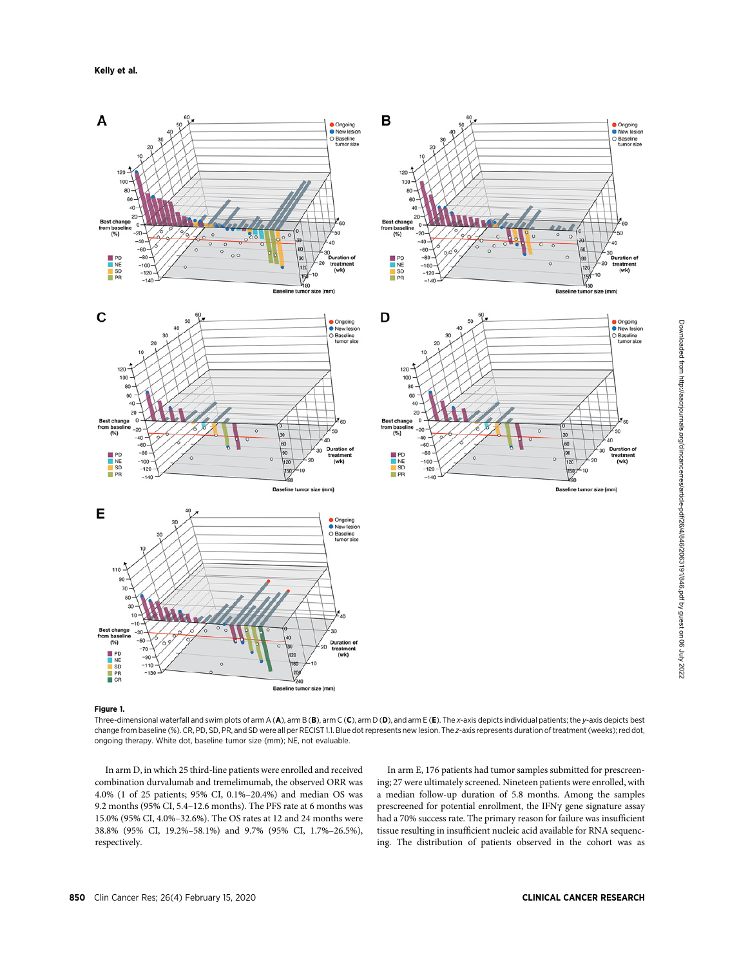

# Figure 1.

Three-dimensional waterfall and swim plots of arm A (A), arm B (B), arm C (C), arm D (D), and arm E (E). The x-axis depicts individual patients; the y-axis depicts best change from baseline (%). CR, PD, SD, PR, and SD were all per RECIST 1.1. Blue dot represents new lesion. The z-axis represents duration of treatment (weeks); red dot, ongoing therapy. White dot, baseline tumor size (mm); NE, not evaluable.

In arm D, in which 25 third-line patients were enrolled and received combination durvalumab and tremelimumab, the observed ORR was 4.0% (1 of 25 patients; 95% CI, 0.1%–20.4%) and median OS was 9.2 months (95% CI, 5.4–12.6 months). The PFS rate at 6 months was 15.0% (95% CI, 4.0%–32.6%). The OS rates at 12 and 24 months were 38.8% (95% CI, 19.2%–58.1%) and 9.7% (95% CI, 1.7%–26.5%), respectively.

In arm E, 176 patients had tumor samples submitted for prescreening; 27 were ultimately screened. Nineteen patients were enrolled, with a median follow-up duration of 5.8 months. Among the samples prescreened for potential enrollment, the IFNg gene signature assay had a 70% success rate. The primary reason for failure was insufficient tissue resulting in insufficient nucleic acid available for RNA sequencing. The distribution of patients observed in the cohort was as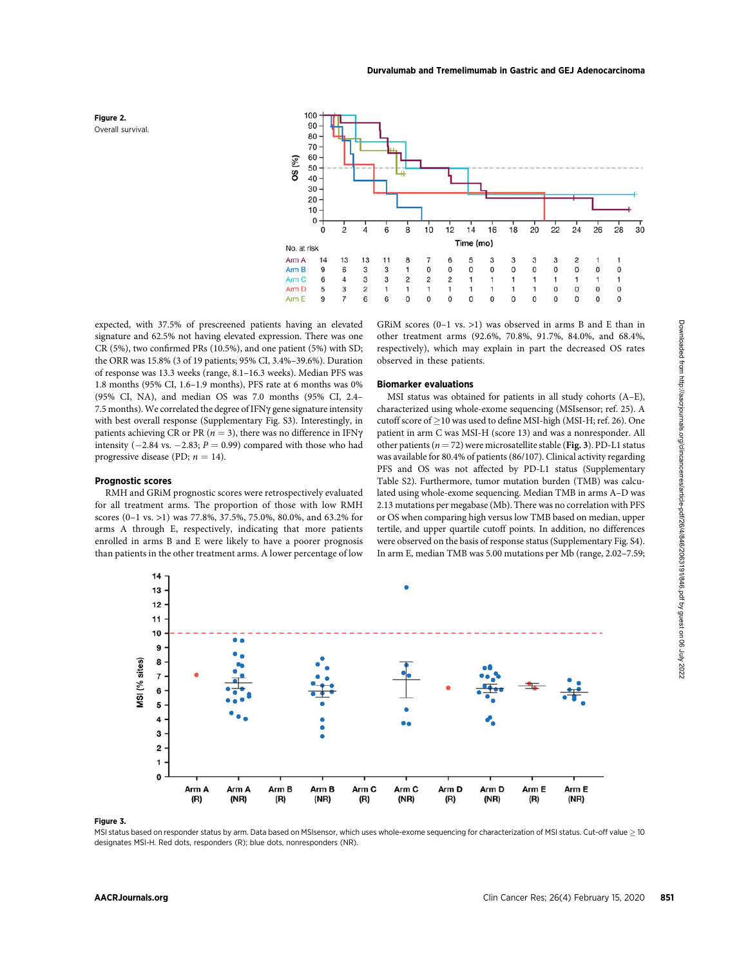

Prognostic scores



expected, with 37.5% of prescreened patients having an elevated signature and 62.5% not having elevated expression. There was one CR (5%), two confirmed PRs (10.5%), and one patient (5%) with SD; the ORR was 15.8% (3 of 19 patients; 95% CI, 3.4%–39.6%). Duration of response was 13.3 weeks (range, 8.1–16.3 weeks). Median PFS was 1.8 months (95% CI, 1.6–1.9 months), PFS rate at 6 months was 0% (95% CI, NA), and median OS was 7.0 months (95% CI, 2.4– 7.5 months). We correlated the degree of IFNy gene signature intensity with best overall response (Supplementary Fig. S3). Interestingly, in patients achieving CR or PR ( $n = 3$ ), there was no difference in IFN $\gamma$ intensity ( $-2.84$  vs.  $-2.83$ ;  $P = 0.99$ ) compared with those who had progressive disease (PD;  $n = 14$ ).

### GRiM scores (0–1 vs. >1) was observed in arms B and E than in other treatment arms (92.6%, 70.8%, 91.7%, 84.0%, and 68.4%, respectively), which may explain in part the decreased OS rates observed in these patients.

#### Biomarker evaluations

MSI status was obtained for patients in all study cohorts (A–E), characterized using whole-exome sequencing (MSIsensor; ref. 25). A cutoff score of  $\geq$  10 was used to define MSI-high (MSI-H; ref. 26). One patient in arm C was MSI-H (score 13) and was a nonresponder. All other patients ( $n = 72$ ) were microsatellite stable (Fig. 3). PD-L1 status was available for 80.4% of patients (86/107). Clinical activity regarding PFS and OS was not affected by PD-L1 status (Supplementary Table S2). Furthermore, tumor mutation burden (TMB) was calculated using whole-exome sequencing. Median TMB in arms A–D was 2.13 mutations per megabase (Mb). There was no correlation with PFS or OS when comparing high versus low TMB based on median, upper tertile, and upper quartile cutoff points. In addition, no differences were observed on the basis of response status (Supplementary Fig. S4). In arm E, median TMB was 5.00 mutations per Mb (range, 2.02–7.59;





#### Figure 3.

MSI status based on responder status by arm. Data based on MSIsensor, which uses whole-exome sequencing for characterization of MSI status. Cut-off value  $\geq$  10 designates MSI-H. Red dots, responders (R); blue dots, nonresponders (NR).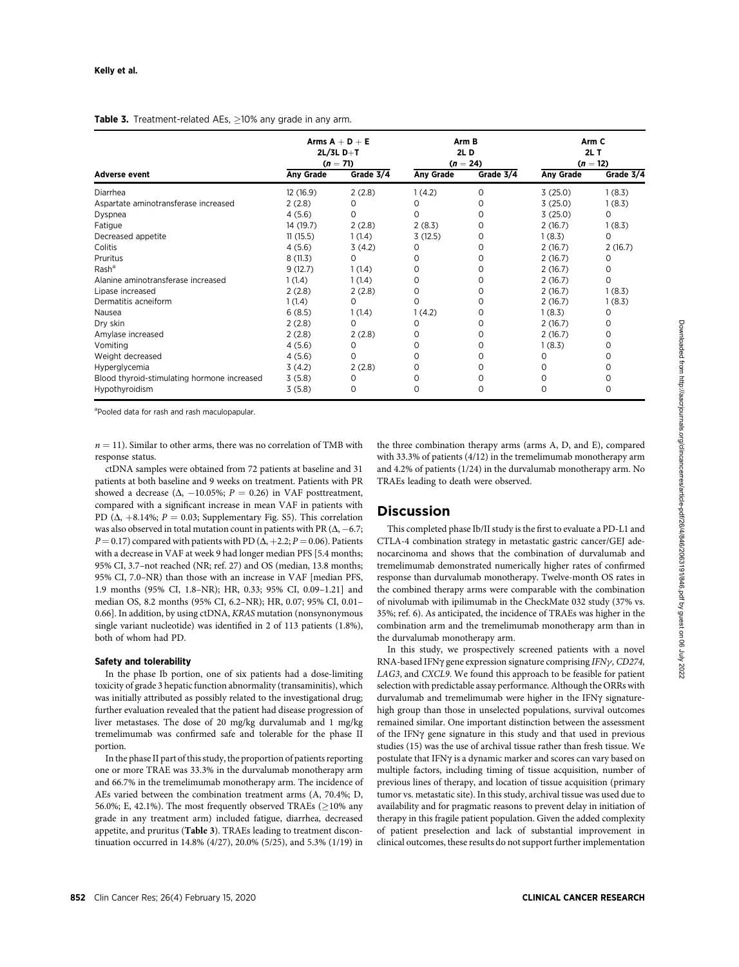#### Table 3. Treatment-related AEs, >10% any grade in any arm.

| <b>Adverse event</b>                        | Arms $A + D + E$<br>$2L/3L$ D+T<br>$(n = 71)$ |           | Arm B<br>2L D<br>$(n = 24)$ |             | Arm C<br>$2L$ T<br>$(n = 12)$ |           |
|---------------------------------------------|-----------------------------------------------|-----------|-----------------------------|-------------|-------------------------------|-----------|
|                                             | <b>Any Grade</b>                              | Grade 3/4 | Any Grade                   | Grade 3/4   | Any Grade                     | Grade 3/4 |
| Diarrhea                                    | 12(16.9)                                      | 2(2.8)    | 1(4.2)                      | 0           | 3(25.0)                       | 1(8.3)    |
| Aspartate aminotransferase increased        | 2(2.8)                                        | 0         | 0                           | O           | 3(25.0)                       | 1(8.3)    |
| Dyspnea                                     | 4(5.6)                                        | 0         | 0                           | 0           | 3(25.0)                       | 0         |
| Fatigue                                     | 14 (19.7)                                     | 2(2.8)    | 2(8.3)                      | O           | 2(16.7)                       | 1(8.3)    |
| Decreased appetite                          | 11(15.5)                                      | 1(1.4)    | 3(12.5)                     | 0           | 1(8.3)                        | 0         |
| Colitis                                     | 4(5.6)                                        | 3(4.2)    | 0                           | O           | 2(16.7)                       | 2(16.7)   |
| Pruritus                                    | 8(11.3)                                       | 0         | O                           | 0           | 2(16.7)                       | 0         |
| Rash <sup>a</sup>                           | 9(12.7)                                       | 1(1.4)    | O                           | O           | 2(16.7)                       | 0         |
| Alanine aminotransferase increased          | 1(1.4)                                        | 1(1.4)    | 0                           | 0           | 2(16.7)                       | 0         |
| Lipase increased                            | 2(2.8)                                        | 2(2.8)    | 0                           | O           | 2(16.7)                       | 1(8.3)    |
| Dermatitis acneiform                        | 1(1.4)                                        | 0         | $\Omega$                    | 0           | 2(16.7)                       | 1(8.3)    |
| Nausea                                      | 6(8.5)                                        | 1(1.4)    | 1(4.2)                      | 0           | 1(8.3)                        | 0         |
| Dry skin                                    | 2(2.8)                                        | 0         | 0                           | 0           | 2(16.7)                       | 0         |
| Amylase increased                           | 2(2.8)                                        | 2(2.8)    | 0                           | O           | 2(16.7)                       | 0         |
| Vomiting                                    | 4(5.6)                                        | 0         | O                           | 0           | 1(8.3)                        | 0         |
| Weight decreased                            | 4(5.6)                                        | 0         | O                           | 0           | Ο                             | 0         |
| Hyperglycemia                               | 3(4.2)                                        | 2(2.8)    | 0                           | 0           | Ο                             | 0         |
| Blood thyroid-stimulating hormone increased | 3(5.8)                                        | $\Omega$  | O                           | 0           |                               | 0         |
| Hypothyroidism                              | 3(5.8)                                        | 0         | $\Omega$                    | $\mathbf 0$ | 0                             | 0         |

<sup>a</sup>Pooled data for rash and rash maculopapular.

 $n = 11$ ). Similar to other arms, there was no correlation of TMB with response status.

ctDNA samples were obtained from 72 patients at baseline and 31 patients at both baseline and 9 weeks on treatment. Patients with PR showed a decrease ( $\Delta$ , -10.05%; P = 0.26) in VAF posttreatment, compared with a significant increase in mean VAF in patients with PD ( $\Delta$ , +8.14%; P = 0.03; Supplementary Fig. S5). This correlation was also observed in total mutation count in patients with PR  $(\Delta, -6.7;$  $P = 0.17$ ) compared with patients with PD ( $\Delta$ , +2.2; P = 0.06). Patients with a decrease in VAF at week 9 had longer median PFS [5.4 months; 95% CI, 3.7–not reached (NR; ref. 27) and OS (median, 13.8 months; 95% CI, 7.0–NR) than those with an increase in VAF [median PFS, 1.9 months (95% CI, 1.8–NR); HR, 0.33; 95% CI, 0.09–1.21] and median OS, 8.2 months (95% CI, 6.2–NR); HR, 0.07; 95% CI, 0.01– 0.66]. In addition, by using ctDNA, KRAS mutation (nonsynonymous single variant nucleotide) was identified in 2 of 113 patients (1.8%), both of whom had PD.

## Safety and tolerability

In the phase Ib portion, one of six patients had a dose-limiting toxicity of grade 3 hepatic function abnormality (transaminitis), which was initially attributed as possibly related to the investigational drug; further evaluation revealed that the patient had disease progression of liver metastases. The dose of 20 mg/kg durvalumab and 1 mg/kg tremelimumab was confirmed safe and tolerable for the phase II portion.

In the phase II part of this study, the proportion of patients reporting one or more TRAE was 33.3% in the durvalumab monotherapy arm and 66.7% in the tremelimumab monotherapy arm. The incidence of AEs varied between the combination treatment arms (A, 70.4%; D, 56.0%; E, 42.1%). The most frequently observed TRAEs ( $\geq$ 10% any grade in any treatment arm) included fatigue, diarrhea, decreased appetite, and pruritus (Table 3). TRAEs leading to treatment discontinuation occurred in 14.8% (4/27), 20.0% (5/25), and 5.3% (1/19) in the three combination therapy arms (arms A, D, and E), compared with 33.3% of patients (4/12) in the tremelimumab monotherapy arm and 4.2% of patients (1/24) in the durvalumab monotherapy arm. No TRAEs leading to death were observed.

# **Discussion**

This completed phase Ib/II study is the first to evaluate a PD-L1 and CTLA-4 combination strategy in metastatic gastric cancer/GEJ adenocarcinoma and shows that the combination of durvalumab and tremelimumab demonstrated numerically higher rates of confirmed response than durvalumab monotherapy. Twelve-month OS rates in the combined therapy arms were comparable with the combination of nivolumab with ipilimumab in the CheckMate 032 study (37% vs. 35%; ref. 6). As anticipated, the incidence of TRAEs was higher in the combination arm and the tremelimumab monotherapy arm than in the durvalumab monotherapy arm.

In this study, we prospectively screened patients with a novel RNA-based IFN $\gamma$  gene expression signature comprising IFN $\gamma$ , CD274, LAG3, and CXCL9. We found this approach to be feasible for patient selection with predictable assay performance. Although the ORRs with durvalumab and tremelimumab were higher in the IFN $\gamma$  signaturehigh group than those in unselected populations, survival outcomes remained similar. One important distinction between the assessment of the IFNg gene signature in this study and that used in previous studies (15) was the use of archival tissue rather than fresh tissue. We postulate that IFNy is a dynamic marker and scores can vary based on multiple factors, including timing of tissue acquisition, number of previous lines of therapy, and location of tissue acquisition (primary tumor vs. metastatic site). In this study, archival tissue was used due to availability and for pragmatic reasons to prevent delay in initiation of therapy in this fragile patient population. Given the added complexity of patient preselection and lack of substantial improvement in clinical outcomes, these results do not support further implementation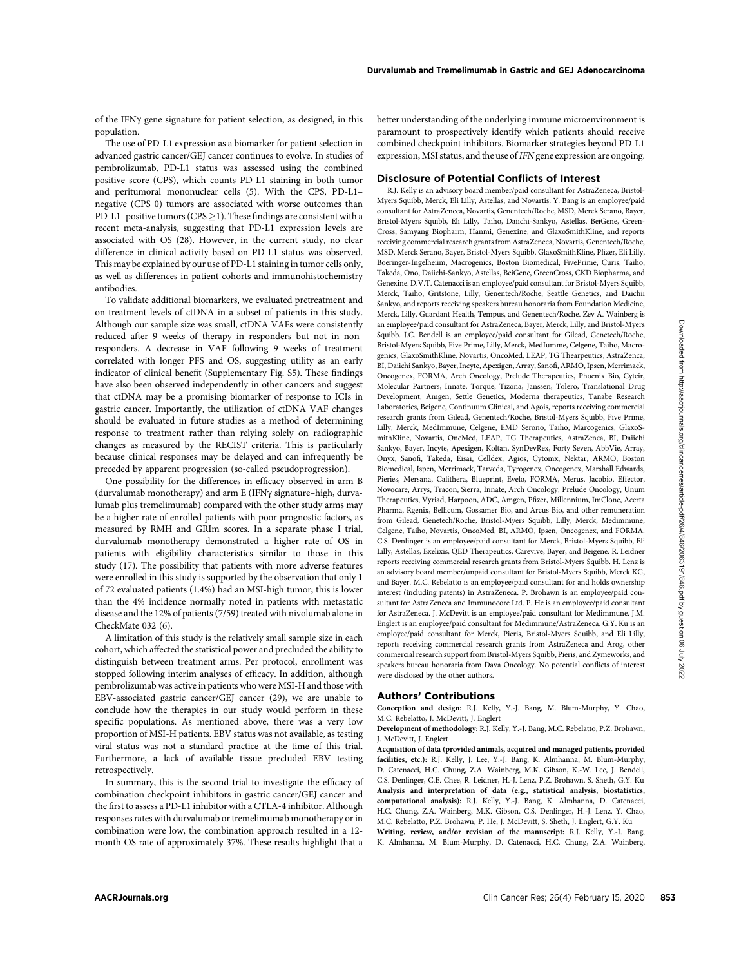of the IFNg gene signature for patient selection, as designed, in this population.

The use of PD-L1 expression as a biomarker for patient selection in advanced gastric cancer/GEJ cancer continues to evolve. In studies of pembrolizumab, PD-L1 status was assessed using the combined positive score (CPS), which counts PD-L1 staining in both tumor and peritumoral mononuclear cells (5). With the CPS, PD-L1– negative (CPS 0) tumors are associated with worse outcomes than PD-L1–positive tumors (CPS  $\geq$  1). These findings are consistent with a recent meta-analysis, suggesting that PD-L1 expression levels are associated with OS (28). However, in the current study, no clear difference in clinical activity based on PD-L1 status was observed. This may be explained by our use of PD-L1 staining in tumor cells only, as well as differences in patient cohorts and immunohistochemistry antibodies.

To validate additional biomarkers, we evaluated pretreatment and on-treatment levels of ctDNA in a subset of patients in this study. Although our sample size was small, ctDNA VAFs were consistently reduced after 9 weeks of therapy in responders but not in nonresponders. A decrease in VAF following 9 weeks of treatment correlated with longer PFS and OS, suggesting utility as an early indicator of clinical benefit (Supplementary Fig. S5). These findings have also been observed independently in other cancers and suggest that ctDNA may be a promising biomarker of response to ICIs in gastric cancer. Importantly, the utilization of ctDNA VAF changes should be evaluated in future studies as a method of determining response to treatment rather than relying solely on radiographic changes as measured by the RECIST criteria. This is particularly because clinical responses may be delayed and can infrequently be preceded by apparent progression (so-called pseudoprogression).

One possibility for the differences in efficacy observed in arm B (durvalumab monotherapy) and arm E (IFNg signature–high, durvalumab plus tremelimumab) compared with the other study arms may be a higher rate of enrolled patients with poor prognostic factors, as measured by RMH and GRIm scores. In a separate phase I trial, durvalumab monotherapy demonstrated a higher rate of OS in patients with eligibility characteristics similar to those in this study (17). The possibility that patients with more adverse features were enrolled in this study is supported by the observation that only 1 of 72 evaluated patients (1.4%) had an MSI-high tumor; this is lower than the 4% incidence normally noted in patients with metastatic disease and the 12% of patients (7/59) treated with nivolumab alone in CheckMate 032 (6).

A limitation of this study is the relatively small sample size in each cohort, which affected the statistical power and precluded the ability to distinguish between treatment arms. Per protocol, enrollment was stopped following interim analyses of efficacy. In addition, although pembrolizumab was active in patients who were MSI-H and those with EBV-associated gastric cancer/GEJ cancer (29), we are unable to conclude how the therapies in our study would perform in these specific populations. As mentioned above, there was a very low proportion of MSI-H patients. EBV status was not available, as testing viral status was not a standard practice at the time of this trial. Furthermore, a lack of available tissue precluded EBV testing retrospectively.

In summary, this is the second trial to investigate the efficacy of combination checkpoint inhibitors in gastric cancer/GEJ cancer and the first to assess a PD-L1 inhibitor with a CTLA-4 inhibitor. Although responses rates with durvalumab or tremelimumab monotherapy or in combination were low, the combination approach resulted in a 12 month OS rate of approximately 37%. These results highlight that a better understanding of the underlying immune microenvironment is paramount to prospectively identify which patients should receive combined checkpoint inhibitors. Biomarker strategies beyond PD-L1 expression, MSI status, and the use of IFN gene expression are ongoing.

#### Disclosure of Potential Conflicts of Interest

R.J. Kelly is an advisory board member/paid consultant for AstraZeneca, Bristol-Myers Squibb, Merck, Eli Lilly, Astellas, and Novartis. Y. Bang is an employee/paid consultant for AstraZeneca, Novartis, Genentech/Roche, MSD, Merck Serano, Bayer, Bristol-Myers Squibb, Eli Lilly, Taiho, Daiichi-Sankyo, Astellas, BeiGene, Green-Cross, Samyang Biopharm, Hanmi, Genexine, and GlaxoSmithKline, and reports receiving commercial research grants from AstraZeneca, Novartis, Genentech/Roche, MSD, Merck Serano, Bayer, Bristol-Myers Squibb, GlaxoSmithKline, Pfizer, Eli Lilly, Boeringer-Ingelheiim, Macrogenics, Boston Biomedical, FivePrime, Curis, Taiho, Takeda, Ono, Daiichi-Sankyo, Astellas, BeiGene, GreenCross, CKD Biopharma, and Genexine. D.V.T. Catenacci is an employee/paid consultant for Bristol-Myers Squibb, Merck, Taiho, Gritstone, Lilly, Genentech/Roche, Seattle Genetics, and Daichii Sankyo, and reports receiving speakers bureau honoraria from Foundation Medicine, Merck, Lilly, Guardant Health, Tempus, and Genentech/Roche. Zev A. Wainberg is an employee/paid consultant for AstraZeneca, Bayer, Merck, Lilly, and Bristol-Myers Squibb. J.C. Bendell is an employee/paid consultant for Gilead, Genetech/Roche, Bristol-Myers Squibb, Five Prime, Lilly, Merck, MedIumme, Celgene, Taiho, Macrogenics, GlaxoSmithKline, Novartis, OncoMed, LEAP, TG Thearpeutics, AstraZenca, BI, Daiichi Sankyo, Bayer, Incyte, Apexigen, Array, Sanofi, ARMO, Ipsen, Merrimack, Oncogenex, FORMA, Arch Oncology, Prelude Therapeutics, Phoenix Bio, Cyteir, Molecular Partners, Innate, Torque, Tizona, Janssen, Tolero, Translational Drug Development, Amgen, Settle Genetics, Moderna therapeutics, Tanabe Research Laboratories, Beigene, Continuum Clinical, and Agois, reports receiving commercial research grants from Gilead, Genentech/Roche, Bristol-Myers Squibb, Five Prime, Lilly, Merck, MedImmune, Celgene, EMD Serono, Taiho, Marcogenics, GlaxoSmithKline, Novartis, OncMed, LEAP, TG Therapeutics, AstraZenca, BI, Daiichi Sankyo, Bayer, Incyte, Apexigen, Koltan, SynDevRex, Forty Seven, AbbVie, Array, Onyx, Sanofi, Takeda, Eisai, Celldex, Agios, Cytomx, Nektar, ARMO, Boston Biomedical, Ispen, Merrimack, Tarveda, Tyrogenex, Oncogenex, Marshall Edwards, Pieries, Mersana, Calithera, Blueprint, Evelo, FORMA, Merus, Jacobio, Effector, Novocare, Arrys, Tracon, Sierra, Innate, Arch Oncology, Prelude Oncology, Unum Therapeutics, Vyriad, Harpoon, ADC, Amgen, Pfizer, Millennium, ImClone, Acerta Pharma, Rgenix, Bellicum, Gossamer Bio, and Arcus Bio, and other remuneration from Gilead, Genetech/Roche, Bristol-Myers Squibb, Lilly, Merck, Medimmune, Celgene, Taiho, Novartis, OncoMed, BI, ARMO, Ipsen, Oncogenex, and FORMA. C.S. Denlinger is an employee/paid consultant for Merck, Bristol-Myers Squibb, Eli Lilly, Astellas, Exelixis, QED Therapeutics, Carevive, Bayer, and Beigene. R. Leidner reports receiving commercial research grants from Bristol-Myers Squibb. H. Lenz is an advisory board member/unpaid consultant for Bristol-Myers Squibb, Merck KG, and Bayer. M.C. Rebelatto is an employee/paid consultant for and holds ownership interest (including patents) in AstraZeneca. P. Brohawn is an employee/paid consultant for AstraZeneca and Immunocore Ltd. P. He is an employee/paid consultant for AstraZeneca. J. McDevitt is an employee/paid consultant for Medimmune. J.M. Englert is an employee/paid consultant for Medimmune/AstraZeneca. G.Y. Ku is an employee/paid consultant for Merck, Pieris, Bristol-Myers Squibb, and Eli Lilly, reports receiving commercial research grants from AstraZeneca and Arog, other commercial research support from Bristol-Myers Squibb, Pieris, and Zymeworks, and speakers bureau honoraria from Dava Oncology. No potential conflicts of interest were disclosed by the other authors.

## Authors' Contributions

Conception and design: R.J. Kelly, Y.-J. Bang, M. Blum-Murphy, Y. Chao, M.C. Rebelatto, J. McDevitt, J. Englert

Development of methodology: R.J. Kelly, Y.-J. Bang, M.C. Rebelatto, P.Z. Brohawn, J. McDevitt, J. Englert

Acquisition of data (provided animals, acquired and managed patients, provided facilities, etc.): R.J. Kelly, J. Lee, Y.-J. Bang, K. Almhanna, M. Blum-Murphy, D. Catenacci, H.C. Chung, Z.A. Wainberg, M.K. Gibson, K.-W. Lee, J. Bendell, C.S. Denlinger, C.E. Chee, R. Leidner, H.-J. Lenz, P.Z. Brohawn, S. Sheth, G.Y. Ku Analysis and interpretation of data (e.g., statistical analysis, biostatistics, computational analysis): R.J. Kelly, Y.-J. Bang, K. Almhanna, D. Catenacci, H.C. Chung, Z.A. Wainberg, M.K. Gibson, C.S. Denlinger, H.-J. Lenz, Y. Chao, M.C. Rebelatto, P.Z. Brohawn, P. He, J. McDevitt, S. Sheth, J. Englert, G.Y. Ku Writing, review, and/or revision of the manuscript: R.J. Kelly, Y.-J. Bang, K. Almhanna, M. Blum-Murphy, D. Catenacci, H.C. Chung, Z.A. Wainberg,